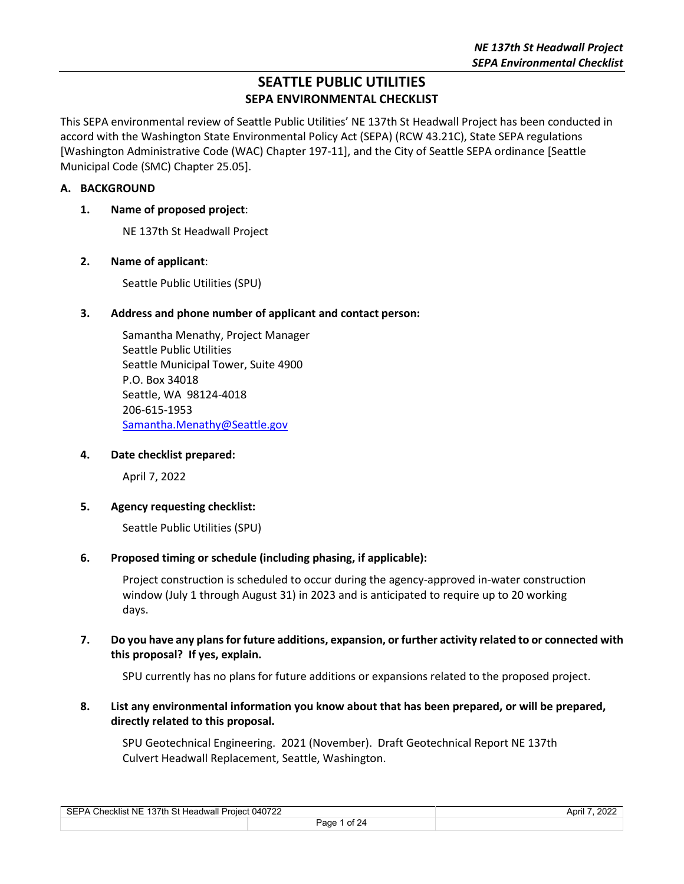# **SEATTLE PUBLIC UTILITIES SEPA ENVIRONMENTAL CHECKLIST**

This SEPA environmental review of Seattle Public Utilities' NE 137th St Headwall Project has been conducted in accord with the Washington State Environmental Policy Act (SEPA) (RCW 43.21C), State SEPA regulations [Washington Administrative Code (WAC) Chapter 197-11], and the City of Seattle SEPA ordinance [Seattle Municipal Code (SMC) Chapter 25.05].

## **A. BACKGROUND**

## **1. Name of proposed project**:

NE 137th St Headwall Project

## **2. Name of applicant**:

Seattle Public Utilities (SPU)

## **3. Address and phone number of applicant and contact person:**

Samantha Menathy, Project Manager Seattle Public Utilities Seattle Municipal Tower, Suite 4900 P.O. Box 34018 Seattle, WA 98124-4018 206-615-1953 [Samantha.Menathy@Seattle.gov](mailto:Samantha.Menathy@Seattle.gov)

## **4. Date checklist prepared:**

April 7, 2022

## **5. Agency requesting checklist:**

Seattle Public Utilities (SPU)

## **6. Proposed timing or schedule (including phasing, if applicable):**

Project construction is scheduled to occur during the agency-approved in-water construction window (July 1 through August 31) in 2023 and is anticipated to require up to 20 working days.

## **7. Do you have any plans for future additions, expansion, or further activity related to or connected with this proposal? If yes, explain.**

SPU currently has no plans for future additions or expansions related to the proposed project.

## **8. List any environmental information you know about that has been prepared, or will be prepared, directly related to this proposal.**

SPU Geotechnical Engineering. 2021 (November). Draft Geotechnical Report NE 137th Culvert Headwall Replacement, Seattle, Washington.

| SEPA Checklist NE 137th St Headwall Project 040722 |              | 2022<br>April 7 |
|----------------------------------------------------|--------------|-----------------|
|                                                    | Page 1 of 24 |                 |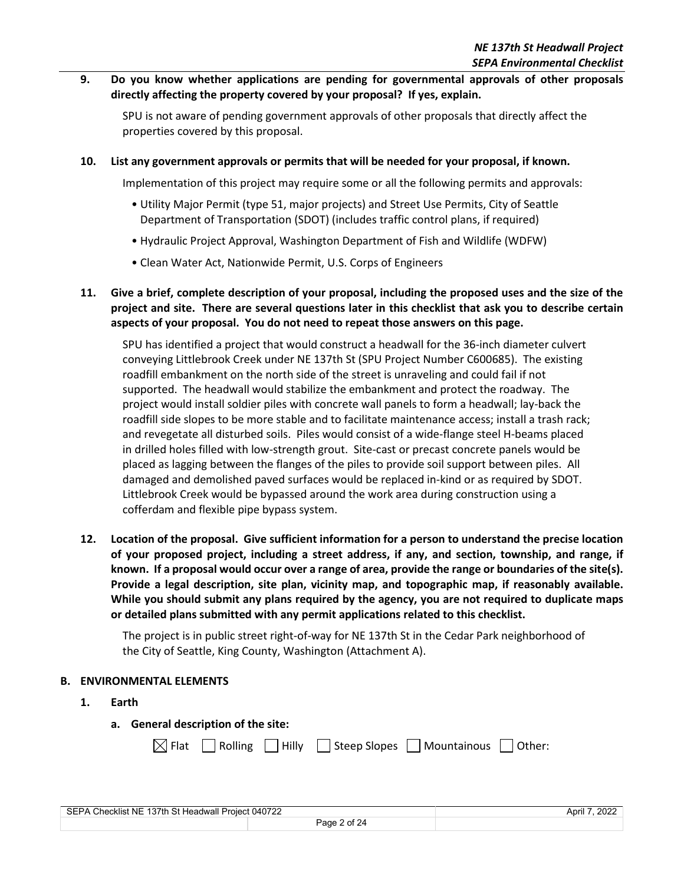**9. Do you know whether applications are pending for governmental approvals of other proposals directly affecting the property covered by your proposal? If yes, explain.**

SPU is not aware of pending government approvals of other proposals that directly affect the properties covered by this proposal.

#### **10. List any government approvals or permits that will be needed for your proposal, if known.**

Implementation of this project may require some or all the following permits and approvals:

- Utility Major Permit (type 51, major projects) and Street Use Permits, City of Seattle Department of Transportation (SDOT) (includes traffic control plans, if required)
- Hydraulic Project Approval, Washington Department of Fish and Wildlife (WDFW)
- Clean Water Act, Nationwide Permit, U.S. Corps of Engineers
- **11. Give a brief, complete description of your proposal, including the proposed uses and the size of the project and site. There are several questions later in this checklist that ask you to describe certain aspects of your proposal. You do not need to repeat those answers on this page.**

SPU has identified a project that would construct a headwall for the 36-inch diameter culvert conveying Littlebrook Creek under NE 137th St (SPU Project Number C600685). The existing roadfill embankment on the north side of the street is unraveling and could fail if not supported. The headwall would stabilize the embankment and protect the roadway. The project would install soldier piles with concrete wall panels to form a headwall; lay-back the roadfill side slopes to be more stable and to facilitate maintenance access; install a trash rack; and revegetate all disturbed soils. Piles would consist of a wide-flange steel H-beams placed in drilled holes filled with low-strength grout. Site-cast or precast concrete panels would be placed as lagging between the flanges of the piles to provide soil support between piles. All damaged and demolished paved surfaces would be replaced in-kind or as required by SDOT. Littlebrook Creek would be bypassed around the work area during construction using a cofferdam and flexible pipe bypass system.

**12. Location of the proposal. Give sufficient information for a person to understand the precise location of your proposed project, including a street address, if any, and section, township, and range, if known. If a proposal would occur over a range of area, provide the range or boundaries of the site(s). Provide a legal description, site plan, vicinity map, and topographic map, if reasonably available. While you should submit any plans required by the agency, you are not required to duplicate maps or detailed plans submitted with any permit applications related to this checklist.**

The project is in public street right-of-way for NE 137th St in the Cedar Park neighborhood of the City of Seattle, King County, Washington (Attachment A).

#### **B. ENVIRONMENTAL ELEMENTS**

- **1. Earth**
	- **a. General description of the site:**

| $\boxtimes$ Flat | Rolling |
|------------------|---------|
|------------------|---------|

|  | $\overline{\phantom{a}}$ Hilly | Steep Slopes | Mountainous | Other: |
|--|--------------------------------|--------------|-------------|--------|
|--|--------------------------------|--------------|-------------|--------|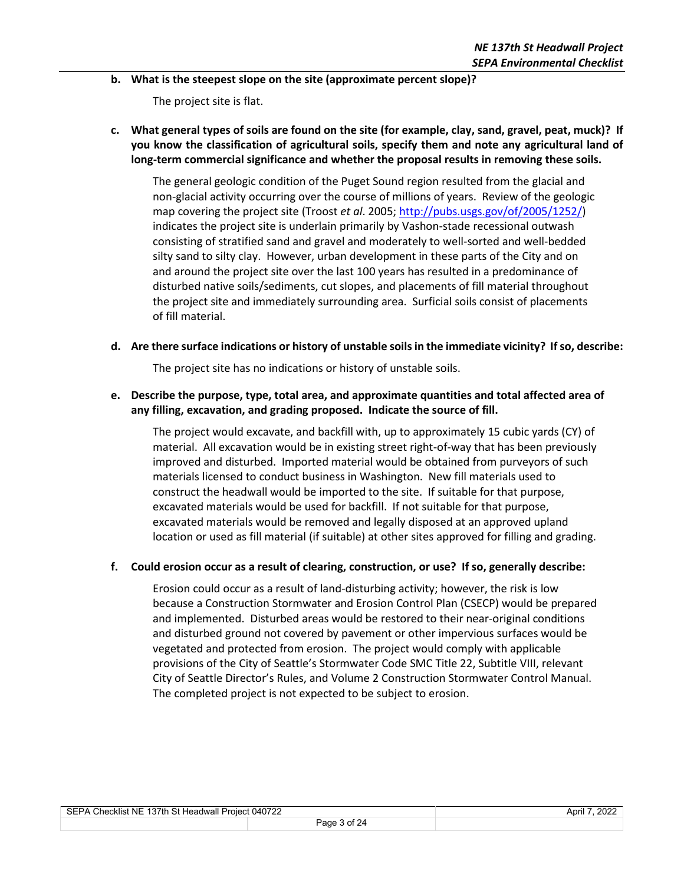#### **b. What is the steepest slope on the site (approximate percent slope)?**

The project site is flat.

**c. What general types of soils are found on the site (for example, clay, sand, gravel, peat, muck)? If you know the classification of agricultural soils, specify them and note any agricultural land of long-term commercial significance and whether the proposal results in removing these soils.**

The general geologic condition of the Puget Sound region resulted from the glacial and non-glacial activity occurring over the course of millions of years. Review of the geologic map covering the project site (Troost *et al*. 2005; [http://pubs.usgs.gov/of/2005/1252/\)](http://pubs.usgs.gov/of/2005/1252/) indicates the project site is underlain primarily by Vashon-stade recessional outwash consisting of stratified sand and gravel and moderately to well-sorted and well-bedded silty sand to silty clay. However, urban development in these parts of the City and on and around the project site over the last 100 years has resulted in a predominance of disturbed native soils/sediments, cut slopes, and placements of fill material throughout the project site and immediately surrounding area. Surficial soils consist of placements of fill material.

#### **d. Are there surface indications or history of unstable soils in the immediate vicinity? If so, describe:**

The project site has no indications or history of unstable soils.

## **e. Describe the purpose, type, total area, and approximate quantities and total affected area of any filling, excavation, and grading proposed. Indicate the source of fill.**

The project would excavate, and backfill with, up to approximately 15 cubic yards (CY) of material. All excavation would be in existing street right-of-way that has been previously improved and disturbed. Imported material would be obtained from purveyors of such materials licensed to conduct business in Washington. New fill materials used to construct the headwall would be imported to the site. If suitable for that purpose, excavated materials would be used for backfill. If not suitable for that purpose, excavated materials would be removed and legally disposed at an approved upland location or used as fill material (if suitable) at other sites approved for filling and grading.

## **f. Could erosion occur as a result of clearing, construction, or use? If so, generally describe:**

Erosion could occur as a result of land-disturbing activity; however, the risk is low because a Construction Stormwater and Erosion Control Plan (CSECP) would be prepared and implemented. Disturbed areas would be restored to their near-original conditions and disturbed ground not covered by pavement or other impervious surfaces would be vegetated and protected from erosion. The project would comply with applicable provisions of the City of Seattle's Stormwater Code SMC Title 22, Subtitle VIII, relevant City of Seattle Director's Rules, and Volume 2 Construction Stormwater Control Manual. The completed project is not expected to be subject to erosion.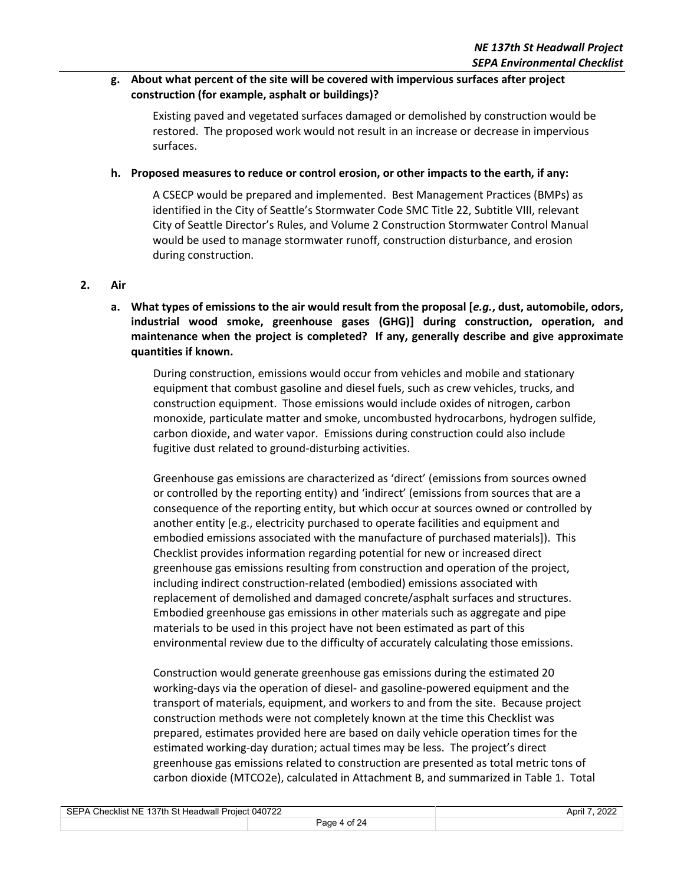## **g. About what percent of the site will be covered with impervious surfaces after project construction (for example, asphalt or buildings)?**

Existing paved and vegetated surfaces damaged or demolished by construction would be restored. The proposed work would not result in an increase or decrease in impervious surfaces.

## **h. Proposed measures to reduce or control erosion, or other impacts to the earth, if any:**

A CSECP would be prepared and implemented. Best Management Practices (BMPs) as identified in the City of Seattle's Stormwater Code SMC Title 22, Subtitle VIII, relevant City of Seattle Director's Rules, and Volume 2 Construction Stormwater Control Manual would be used to manage stormwater runoff, construction disturbance, and erosion during construction.

## **2. Air**

**a. What types of emissions to the air would result from the proposal [***e.g.***, dust, automobile, odors, industrial wood smoke, greenhouse gases (GHG)] during construction, operation, and maintenance when the project is completed? If any, generally describe and give approximate quantities if known.**

During construction, emissions would occur from vehicles and mobile and stationary equipment that combust gasoline and diesel fuels, such as crew vehicles, trucks, and construction equipment. Those emissions would include oxides of nitrogen, carbon monoxide, particulate matter and smoke, uncombusted hydrocarbons, hydrogen sulfide, carbon dioxide, and water vapor. Emissions during construction could also include fugitive dust related to ground-disturbing activities.

Greenhouse gas emissions are characterized as 'direct' (emissions from sources owned or controlled by the reporting entity) and 'indirect' (emissions from sources that are a consequence of the reporting entity, but which occur at sources owned or controlled by another entity [e.g., electricity purchased to operate facilities and equipment and embodied emissions associated with the manufacture of purchased materials]). This Checklist provides information regarding potential for new or increased direct greenhouse gas emissions resulting from construction and operation of the project, including indirect construction-related (embodied) emissions associated with replacement of demolished and damaged concrete/asphalt surfaces and structures. Embodied greenhouse gas emissions in other materials such as aggregate and pipe materials to be used in this project have not been estimated as part of this environmental review due to the difficulty of accurately calculating those emissions.

Construction would generate greenhouse gas emissions during the estimated 20 working-days via the operation of diesel- and gasoline-powered equipment and the transport of materials, equipment, and workers to and from the site. Because project construction methods were not completely known at the time this Checklist was prepared, estimates provided here are based on daily vehicle operation times for the estimated working-day duration; actual times may be less. The project's direct greenhouse gas emissions related to construction are presented as total metric tons of carbon dioxide (MTCO2e), calculated in Attachment B, and summarized in Table 1. Total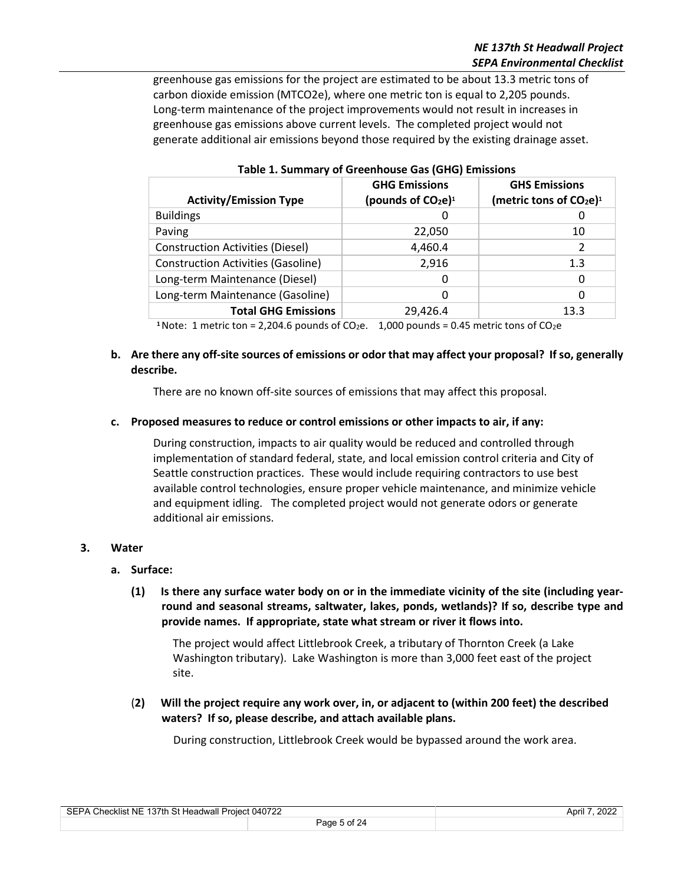greenhouse gas emissions for the project are estimated to be about 13.3 metric tons of carbon dioxide emission (MTCO2e), where one metric ton is equal to 2,205 pounds. Long-term maintenance of the project improvements would not result in increases in greenhouse gas emissions above current levels. The completed project would not generate additional air emissions beyond those required by the existing drainage asset.

| <b>Activity/Emission Type</b>             | <b>GHG Emissions</b><br>(pounds of $CO2e$ ) <sup>1</sup> | <b>GHS Emissions</b><br>(metric tons of $CO2e$ ) <sup>1</sup> |
|-------------------------------------------|----------------------------------------------------------|---------------------------------------------------------------|
| <b>Buildings</b>                          | 0                                                        | 0                                                             |
| Paving                                    | 22,050                                                   | 10                                                            |
| <b>Construction Activities (Diesel)</b>   | 4,460.4                                                  | 2                                                             |
| <b>Construction Activities (Gasoline)</b> | 2,916                                                    | 1.3                                                           |
| Long-term Maintenance (Diesel)            | 0                                                        | 0                                                             |
| Long-term Maintenance (Gasoline)          | 0                                                        | 0                                                             |
| <b>Total GHG Emissions</b>                | 29,426.4                                                 | 13.3                                                          |

| Table 1. Summary of Greenhouse Gas (GHG) Emissions |  |  |
|----------------------------------------------------|--|--|
|----------------------------------------------------|--|--|

<sup>1</sup>Note: 1 metric ton = 2,204.6 pounds of CO<sub>2</sub>e.  $1,000$  pounds = 0.45 metric tons of CO<sub>2</sub>e

## **b. Are there any off-site sources of emissions or odor that may affect your proposal? If so, generally describe.**

There are no known off-site sources of emissions that may affect this proposal.

#### **c. Proposed measures to reduce or control emissions or other impacts to air, if any:**

During construction, impacts to air quality would be reduced and controlled through implementation of standard federal, state, and local emission control criteria and City of Seattle construction practices. These would include requiring contractors to use best available control technologies, ensure proper vehicle maintenance, and minimize vehicle and equipment idling. The completed project would not generate odors or generate additional air emissions.

## **3. Water**

- **a. Surface:**
	- **(1) Is there any surface water body on or in the immediate vicinity of the site (including yearround and seasonal streams, saltwater, lakes, ponds, wetlands)? If so, describe type and provide names. If appropriate, state what stream or river it flows into.**

The project would affect Littlebrook Creek, a tributary of Thornton Creek (a Lake Washington tributary). Lake Washington is more than 3,000 feet east of the project site.

(**2) Will the project require any work over, in, or adjacent to (within 200 feet) the described waters? If so, please describe, and attach available plans.**

During construction, Littlebrook Creek would be bypassed around the work area.

| SEPA Checklist NE 137th St Headwall Project 040722 | 2022<br>April 7 |
|----------------------------------------------------|-----------------|
|----------------------------------------------------|-----------------|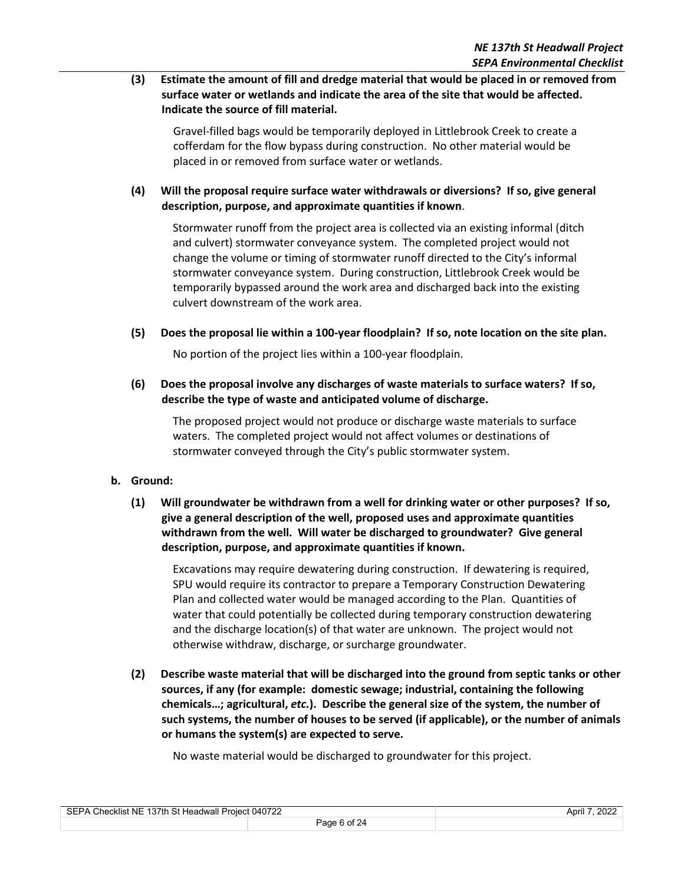## **(3) Estimate the amount of fill and dredge material that would be placed in or removed from surface water or wetlands and indicate the area of the site that would be affected. Indicate the source of fill material.**

Gravel-filled bags would be temporarily deployed in Littlebrook Creek to create a cofferdam for the flow bypass during construction. No other material would be placed in or removed from surface water or wetlands.

## **(4) Will the proposal require surface water withdrawals or diversions? If so, give general description, purpose, and approximate quantities if known**.

Stormwater runoff from the project area is collected via an existing informal (ditch and culvert) stormwater conveyance system. The completed project would not change the volume or timing of stormwater runoff directed to the City's informal stormwater conveyance system. During construction, Littlebrook Creek would be temporarily bypassed around the work area and discharged back into the existing culvert downstream of the work area.

## **(5) Does the proposal lie within a 100-year floodplain? If so, note location on the site plan.**

No portion of the project lies within a 100-year floodplain.

## **(6) Does the proposal involve any discharges of waste materials to surface waters? If so, describe the type of waste and anticipated volume of discharge.**

The proposed project would not produce or discharge waste materials to surface waters. The completed project would not affect volumes or destinations of stormwater conveyed through the City's public stormwater system.

## **b. Ground:**

## **(1) Will groundwater be withdrawn from a well for drinking water or other purposes? If so, give a general description of the well, proposed uses and approximate quantities withdrawn from the well. Will water be discharged to groundwater? Give general description, purpose, and approximate quantities if known.**

Excavations may require dewatering during construction. If dewatering is required, SPU would require its contractor to prepare a Temporary Construction Dewatering Plan and collected water would be managed according to the Plan. Quantities of water that could potentially be collected during temporary construction dewatering and the discharge location(s) of that water are unknown. The project would not otherwise withdraw, discharge, or surcharge groundwater.

**(2) Describe waste material that will be discharged into the ground from septic tanks or other sources, if any (for example: domestic sewage; industrial, containing the following chemicals…; agricultural,** *etc.***). Describe the general size of the system, the number of such systems, the number of houses to be served (if applicable), or the number of animals or humans the system(s) are expected to serve.**

No waste material would be discharged to groundwater for this project.

| SEPA (<br>\ Checklist NE 137th St Headwall Project 040722 |               | 2022<br>April |
|-----------------------------------------------------------|---------------|---------------|
|                                                           | of 24<br>Page |               |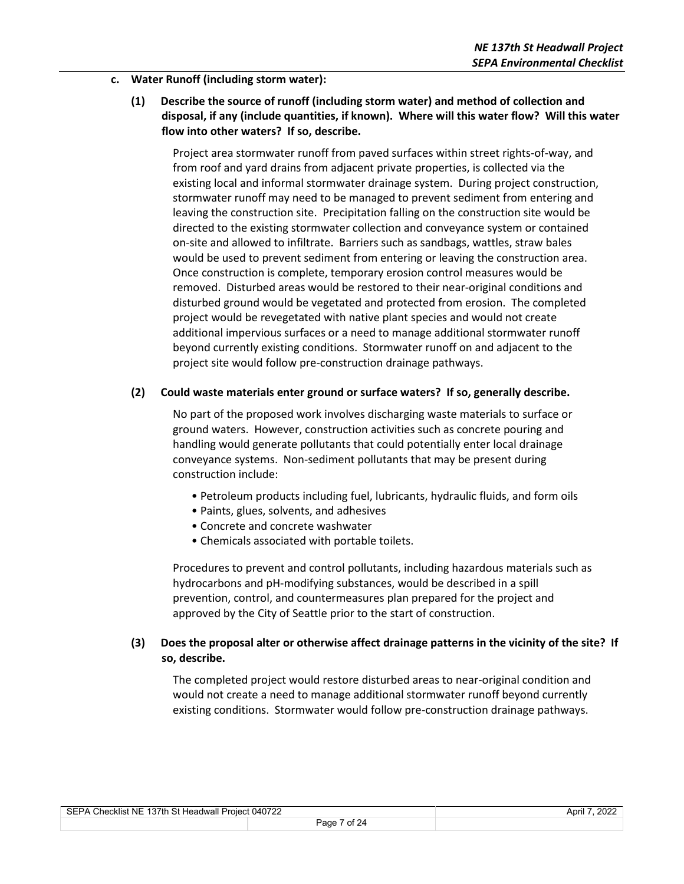- **c. Water Runoff (including storm water):**
	- **(1) Describe the source of runoff (including storm water) and method of collection and disposal, if any (include quantities, if known). Where will this water flow? Will this water flow into other waters? If so, describe.**

Project area stormwater runoff from paved surfaces within street rights-of-way, and from roof and yard drains from adjacent private properties, is collected via the existing local and informal stormwater drainage system. During project construction, stormwater runoff may need to be managed to prevent sediment from entering and leaving the construction site. Precipitation falling on the construction site would be directed to the existing stormwater collection and conveyance system or contained on-site and allowed to infiltrate. Barriers such as sandbags, wattles, straw bales would be used to prevent sediment from entering or leaving the construction area. Once construction is complete, temporary erosion control measures would be removed. Disturbed areas would be restored to their near-original conditions and disturbed ground would be vegetated and protected from erosion. The completed project would be revegetated with native plant species and would not create additional impervious surfaces or a need to manage additional stormwater runoff beyond currently existing conditions. Stormwater runoff on and adjacent to the project site would follow pre-construction drainage pathways.

#### **(2) Could waste materials enter ground or surface waters? If so, generally describe.**

No part of the proposed work involves discharging waste materials to surface or ground waters. However, construction activities such as concrete pouring and handling would generate pollutants that could potentially enter local drainage conveyance systems. Non-sediment pollutants that may be present during construction include:

- Petroleum products including fuel, lubricants, hydraulic fluids, and form oils
- Paints, glues, solvents, and adhesives
- Concrete and concrete washwater
- Chemicals associated with portable toilets.

Procedures to prevent and control pollutants, including hazardous materials such as hydrocarbons and pH-modifying substances, would be described in a spill prevention, control, and countermeasures plan prepared for the project and approved by the City of Seattle prior to the start of construction.

## **(3) Does the proposal alter or otherwise affect drainage patterns in the vicinity of the site? If so, describe.**

The completed project would restore disturbed areas to near-original condition and would not create a need to manage additional stormwater runoff beyond currently existing conditions. Stormwater would follow pre-construction drainage pathways.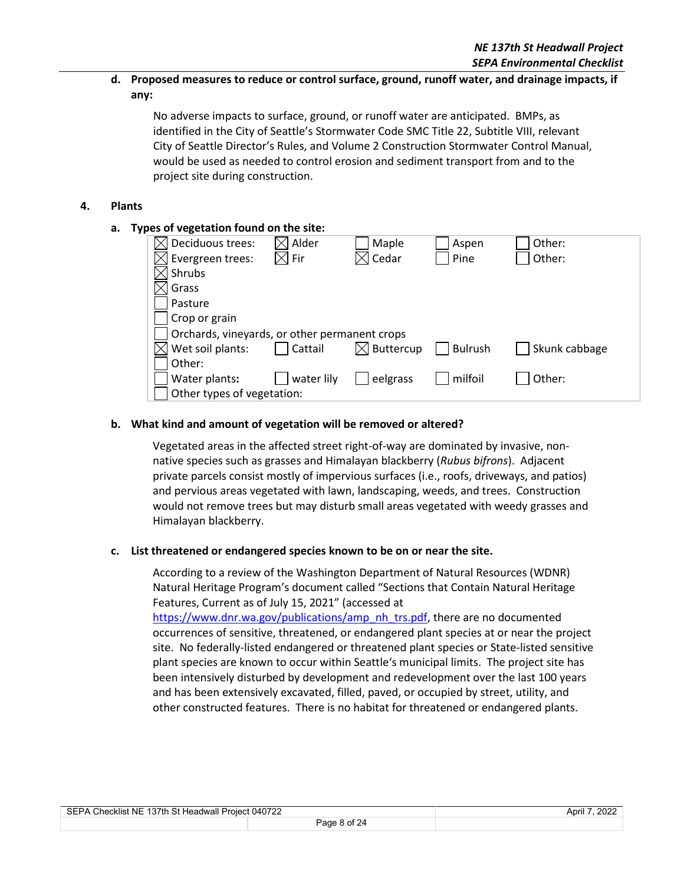## **d. Proposed measures to reduce or control surface, ground, runoff water, and drainage impacts, if any:**

No adverse impacts to surface, ground, or runoff water are anticipated. BMPs, as identified in the City of Seattle's Stormwater Code SMC Title 22, Subtitle VIII, relevant City of Seattle Director's Rules, and Volume 2 Construction Stormwater Control Manual, would be used as needed to control erosion and sediment transport from and to the project site during construction.

## **4. Plants**

| a. Types of vegetation found on the site: |  |
|-------------------------------------------|--|
|-------------------------------------------|--|

| Deciduous trees:                              | Alder               | Maple                 | Aspen          | Other:        |
|-----------------------------------------------|---------------------|-----------------------|----------------|---------------|
| Evergreen trees:                              | $\triangleleft$ Fir | Cedar                 | Pine           | Other:        |
| Shrubs                                        |                     |                       |                |               |
| Grass                                         |                     |                       |                |               |
| Pasture                                       |                     |                       |                |               |
| Crop or grain                                 |                     |                       |                |               |
| Orchards, vineyards, or other permanent crops |                     |                       |                |               |
| Wet soil plants:                              | Cattail             | $\boxtimes$ Buttercup | <b>Bulrush</b> | Skunk cabbage |
| Other:                                        |                     |                       |                |               |
| Water plants:                                 | water lily          | eelgrass              | milfoil        | Other:        |
| Other types of vegetation:                    |                     |                       |                |               |

## **b. What kind and amount of vegetation will be removed or altered?**

Vegetated areas in the affected street right-of-way are dominated by invasive, nonnative species such as grasses and Himalayan blackberry (*Rubus bifrons*). Adjacent private parcels consist mostly of impervious surfaces (i.e., roofs, driveways, and patios) and pervious areas vegetated with lawn, landscaping, weeds, and trees. Construction would not remove trees but may disturb small areas vegetated with weedy grasses and Himalayan blackberry.

#### **c. List threatened or endangered species known to be on or near the site.**

According to a review of the Washington Department of Natural Resources (WDNR) Natural Heritage Program's document called "Sections that Contain Natural Heritage Features, Current as of July 15, 2021" (accessed at [https://www.dnr.wa.gov/publications/amp\\_nh\\_trs.pdf,](https://www.dnr.wa.gov/publications/amp_nh_trs.pdf) there are no documented occurrences of sensitive, threatened, or endangered plant species at or near the project site. No federally-listed endangered or threatened plant species or State-listed sensitive plant species are known to occur within Seattle's municipal limits. The project site has been intensively disturbed by development and redevelopment over the last 100 years and has been extensively excavated, filled, paved, or occupied by street, utility, and other constructed features. There is no habitat for threatened or endangered plants.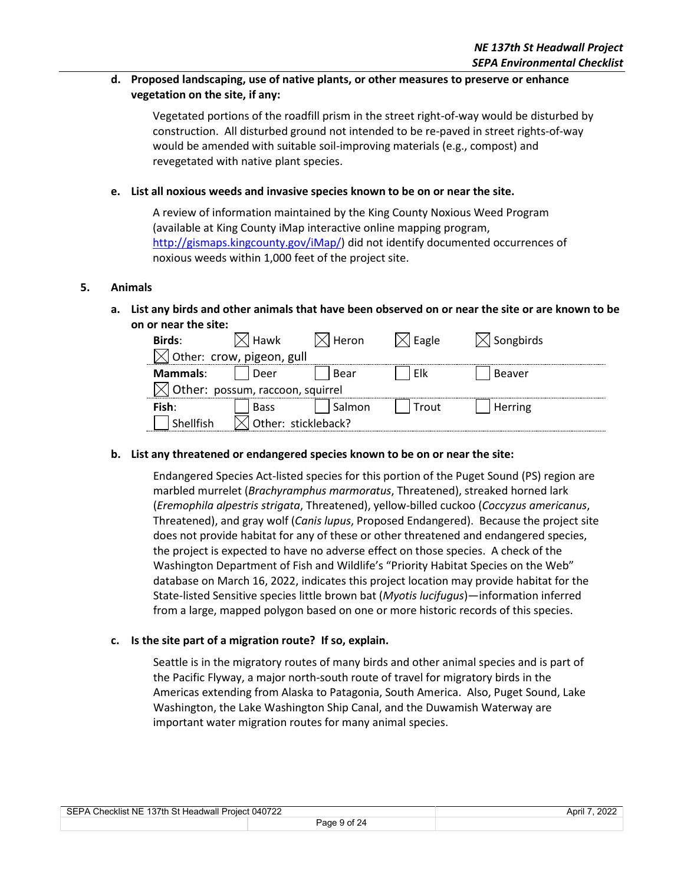## **d. Proposed landscaping, use of native plants, or other measures to preserve or enhance vegetation on the site, if any:**

Vegetated portions of the roadfill prism in the street right-of-way would be disturbed by construction. All disturbed ground not intended to be re-paved in street rights-of-way would be amended with suitable soil-improving materials (e.g., compost) and revegetated with native plant species.

## **e. List all noxious weeds and invasive species known to be on or near the site.**

A review of information maintained by the King County Noxious Weed Program (available at King County iMap interactive online mapping program, [http://gismaps.kingcounty.gov/iMap/\)](http://gismaps.kingcounty.gov/iMap/) did not identify documented occurrences of noxious weeds within 1,000 feet of the project site.

## **5. Animals**

**a. List any birds and other animals that have been observed on or near the site or are known to be on or near the site:**

| Birds:   | Hawk                             | Heron               | Eagle | Songbirds |
|----------|----------------------------------|---------------------|-------|-----------|
|          | Other: crow, pigeon, gull        |                     |       |           |
| Mammals: | Deer                             | Bear                | EIK   | Beaver    |
|          | Other: possum, raccoon, squirrel |                     |       |           |
| Fish:    | Bass                             | Salmon              | Trout | Herring   |
|          |                                  | Other: stickleback? |       |           |

## **b. List any threatened or endangered species known to be on or near the site:**

Endangered Species Act-listed species for this portion of the Puget Sound (PS) region are marbled murrelet (*Brachyramphus marmoratus*, Threatened), streaked horned lark (*Eremophila alpestris strigata*, Threatened), yellow-billed cuckoo (*Coccyzus americanus*, Threatened), and gray wolf (*Canis lupus*, Proposed Endangered). Because the project site does not provide habitat for any of these or other threatened and endangered species, the project is expected to have no adverse effect on those species. A check of the Washington Department of Fish and Wildlife's "Priority Habitat Species on the Web" database on March 16, 2022, indicates this project location may provide habitat for the State-listed Sensitive species little brown bat (*Myotis lucifugus*)—information inferred from a large, mapped polygon based on one or more historic records of this species.

## **c. Is the site part of a migration route? If so, explain.**

Seattle is in the migratory routes of many birds and other animal species and is part of the Pacific Flyway, a major north-south route of travel for migratory birds in the Americas extending from Alaska to Patagonia, South America. Also, Puget Sound, Lake Washington, the Lake Washington Ship Canal, and the Duwamish Waterway are important water migration routes for many animal species.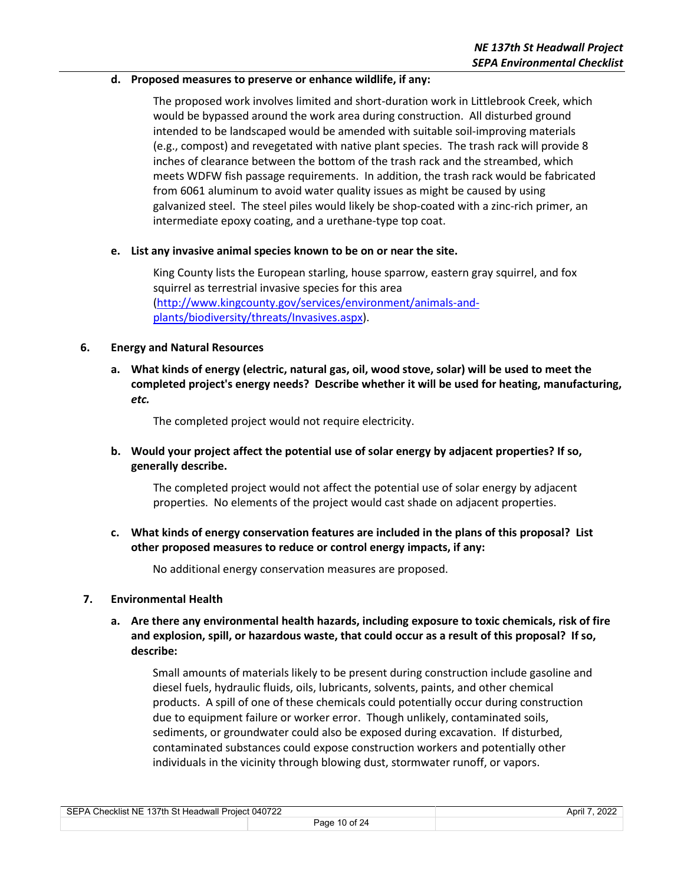#### **d. Proposed measures to preserve or enhance wildlife, if any:**

The proposed work involves limited and short-duration work in Littlebrook Creek, which would be bypassed around the work area during construction. All disturbed ground intended to be landscaped would be amended with suitable soil-improving materials (e.g., compost) and revegetated with native plant species. The trash rack will provide 8 inches of clearance between the bottom of the trash rack and the streambed, which meets WDFW fish passage requirements. In addition, the trash rack would be fabricated from 6061 aluminum to avoid water quality issues as might be caused by using galvanized steel. The steel piles would likely be shop-coated with a zinc-rich primer, an intermediate epoxy coating, and a urethane-type top coat.

## **e. List any invasive animal species known to be on or near the site.**

King County lists the European starling, house sparrow, eastern gray squirrel, and fox squirrel as terrestrial invasive species for this area [\(http://www.kingcounty.gov/services/environment/animals-and](http://www.kingcounty.gov/services/environment/animals-and-plants/biodiversity/threats/Invasives.aspx)[plants/biodiversity/threats/Invasives.aspx\)](http://www.kingcounty.gov/services/environment/animals-and-plants/biodiversity/threats/Invasives.aspx).

## **6. Energy and Natural Resources**

**a. What kinds of energy (electric, natural gas, oil, wood stove, solar) will be used to meet the completed project's energy needs? Describe whether it will be used for heating, manufacturing,**  *etc.*

The completed project would not require electricity.

**b. Would your project affect the potential use of solar energy by adjacent properties? If so, generally describe.**

The completed project would not affect the potential use of solar energy by adjacent properties. No elements of the project would cast shade on adjacent properties.

**c. What kinds of energy conservation features are included in the plans of this proposal? List other proposed measures to reduce or control energy impacts, if any:**

No additional energy conservation measures are proposed.

## **7. Environmental Health**

**a. Are there any environmental health hazards, including exposure to toxic chemicals, risk of fire and explosion, spill, or hazardous waste, that could occur as a result of this proposal? If so, describe:**

Small amounts of materials likely to be present during construction include gasoline and diesel fuels, hydraulic fluids, oils, lubricants, solvents, paints, and other chemical products. A spill of one of these chemicals could potentially occur during construction due to equipment failure or worker error. Though unlikely, contaminated soils, sediments, or groundwater could also be exposed during excavation. If disturbed, contaminated substances could expose construction workers and potentially other individuals in the vicinity through blowing dust, stormwater runoff, or vapors.

| SEPA Checklist NE 137th St Headwall Project 040722 | 2022<br>April 7 |
|----------------------------------------------------|-----------------|
|----------------------------------------------------|-----------------|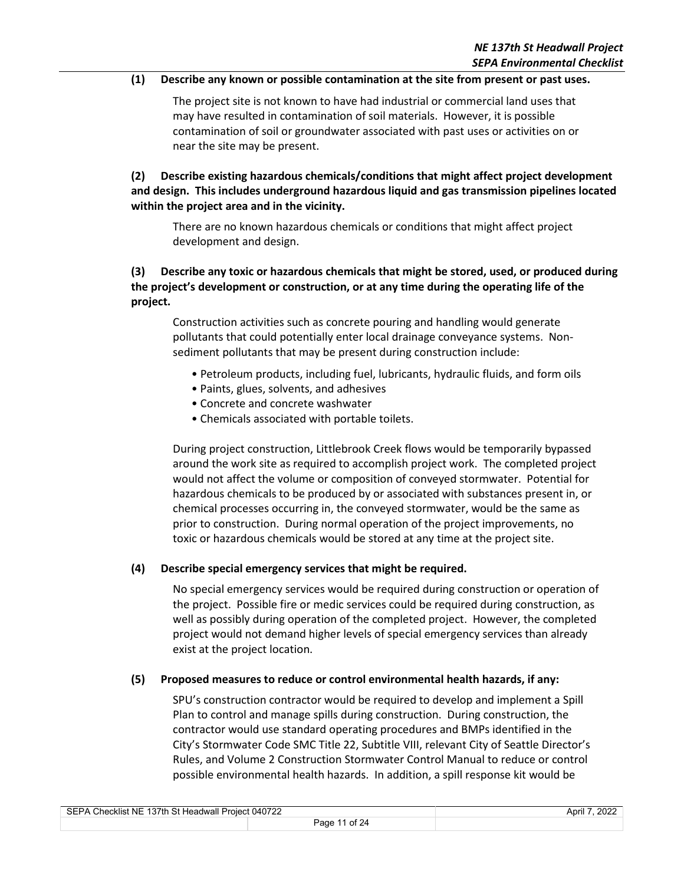#### **(1) Describe any known or possible contamination at the site from present or past uses.**

The project site is not known to have had industrial or commercial land uses that may have resulted in contamination of soil materials. However, it is possible contamination of soil or groundwater associated with past uses or activities on or near the site may be present.

**(2) Describe existing hazardous chemicals/conditions that might affect project development and design. This includes underground hazardous liquid and gas transmission pipelines located within the project area and in the vicinity.**

There are no known hazardous chemicals or conditions that might affect project development and design.

## **(3) Describe any toxic or hazardous chemicals that might be stored, used, or produced during the project's development or construction, or at any time during the operating life of the project.**

Construction activities such as concrete pouring and handling would generate pollutants that could potentially enter local drainage conveyance systems. Nonsediment pollutants that may be present during construction include:

- Petroleum products, including fuel, lubricants, hydraulic fluids, and form oils
- Paints, glues, solvents, and adhesives
- Concrete and concrete washwater
- Chemicals associated with portable toilets.

During project construction, Littlebrook Creek flows would be temporarily bypassed around the work site as required to accomplish project work. The completed project would not affect the volume or composition of conveyed stormwater. Potential for hazardous chemicals to be produced by or associated with substances present in, or chemical processes occurring in, the conveyed stormwater, would be the same as prior to construction. During normal operation of the project improvements, no toxic or hazardous chemicals would be stored at any time at the project site.

#### **(4) Describe special emergency services that might be required.**

No special emergency services would be required during construction or operation of the project. Possible fire or medic services could be required during construction, as well as possibly during operation of the completed project. However, the completed project would not demand higher levels of special emergency services than already exist at the project location.

#### **(5) Proposed measures to reduce or control environmental health hazards, if any:**

SPU's construction contractor would be required to develop and implement a Spill Plan to control and manage spills during construction. During construction, the contractor would use standard operating procedures and BMPs identified in the City's Stormwater Code SMC Title 22, Subtitle VIII, relevant City of Seattle Director's Rules, and Volume 2 Construction Stormwater Control Manual to reduce or control possible environmental health hazards. In addition, a spill response kit would be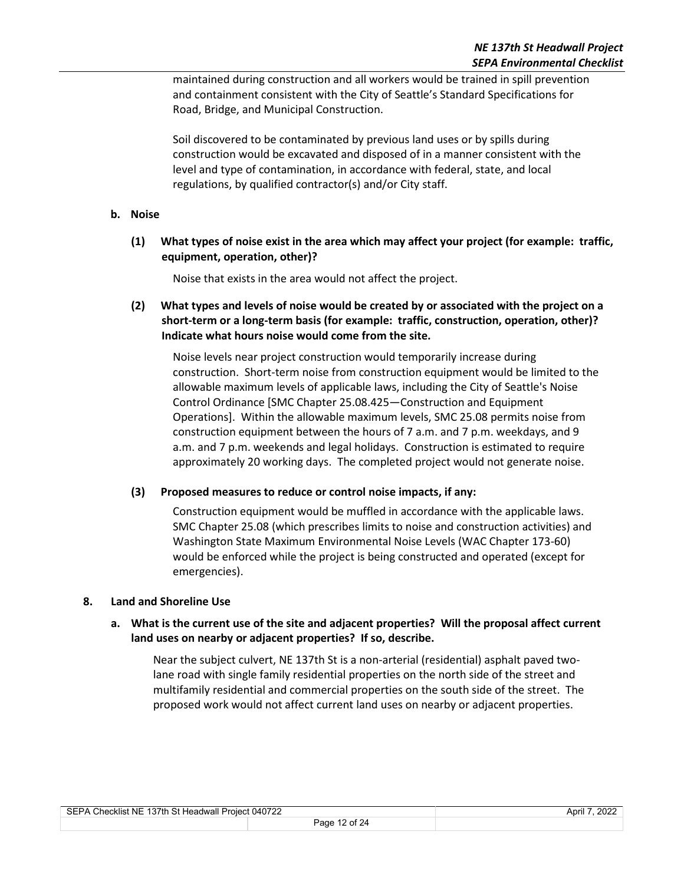maintained during construction and all workers would be trained in spill prevention and containment consistent with the City of Seattle's Standard Specifications for Road, Bridge, and Municipal Construction.

Soil discovered to be contaminated by previous land uses or by spills during construction would be excavated and disposed of in a manner consistent with the level and type of contamination, in accordance with federal, state, and local regulations, by qualified contractor(s) and/or City staff.

### **b. Noise**

**(1) What types of noise exist in the area which may affect your project (for example: traffic, equipment, operation, other)?**

Noise that exists in the area would not affect the project.

**(2) What types and levels of noise would be created by or associated with the project on a short-term or a long-term basis (for example: traffic, construction, operation, other)? Indicate what hours noise would come from the site.**

Noise levels near project construction would temporarily increase during construction. Short-term noise from construction equipment would be limited to the allowable maximum levels of applicable laws, including the City of Seattle's Noise Control Ordinance [SMC Chapter 25.08.425—Construction and Equipment Operations]. Within the allowable maximum levels, SMC 25.08 permits noise from construction equipment between the hours of 7 a.m. and 7 p.m. weekdays, and 9 a.m. and 7 p.m. weekends and legal holidays. Construction is estimated to require approximately 20 working days. The completed project would not generate noise.

## **(3) Proposed measures to reduce or control noise impacts, if any:**

Construction equipment would be muffled in accordance with the applicable laws. SMC Chapter 25.08 (which prescribes limits to noise and construction activities) and Washington State Maximum Environmental Noise Levels (WAC Chapter 173-60) would be enforced while the project is being constructed and operated (except for emergencies).

## **8. Land and Shoreline Use**

## **a. What is the current use of the site and adjacent properties? Will the proposal affect current land uses on nearby or adjacent properties? If so, describe.**

Near the subject culvert, NE 137th St is a non-arterial (residential) asphalt paved twolane road with single family residential properties on the north side of the street and multifamily residential and commercial properties on the south side of the street. The proposed work would not affect current land uses on nearby or adjacent properties.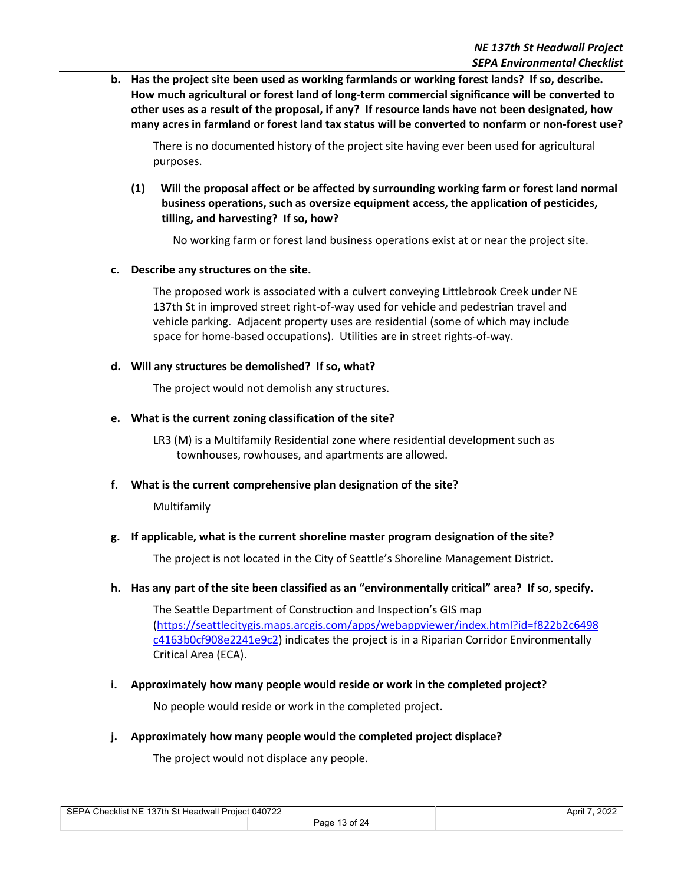**b. Has the project site been used as working farmlands or working forest lands? If so, describe. How much agricultural or forest land of long-term commercial significance will be converted to other uses as a result of the proposal, if any? If resource lands have not been designated, how many acres in farmland or forest land tax status will be converted to nonfarm or non-forest use?**

There is no documented history of the project site having ever been used for agricultural purposes.

**(1) Will the proposal affect or be affected by surrounding working farm or forest land normal business operations, such as oversize equipment access, the application of pesticides, tilling, and harvesting? If so, how?**

No working farm or forest land business operations exist at or near the project site.

## **c. Describe any structures on the site.**

The proposed work is associated with a culvert conveying Littlebrook Creek under NE 137th St in improved street right-of-way used for vehicle and pedestrian travel and vehicle parking. Adjacent property uses are residential (some of which may include space for home-based occupations). Utilities are in street rights-of-way.

## **d. Will any structures be demolished? If so, what?**

The project would not demolish any structures.

## **e. What is the current zoning classification of the site?**

LR3 (M) is a Multifamily Residential zone where residential development such as townhouses, rowhouses, and apartments are allowed.

## **f. What is the current comprehensive plan designation of the site?**

Multifamily

## **g. If applicable, what is the current shoreline master program designation of the site?**

The project is not located in the City of Seattle's Shoreline Management District.

## **h. Has any part of the site been classified as an "environmentally critical" area? If so, specify.**

The Seattle Department of Construction and Inspection's GIS map [\(https://seattlecitygis.maps.arcgis.com/apps/webappviewer/index.html?id=f822b2c6498](https://seattlecitygis.maps.arcgis.com/apps/webappviewer/index.html?id=f822b2c6498c4163b0cf908e2241e9c2) [c4163b0cf908e2241e9c2\)](https://seattlecitygis.maps.arcgis.com/apps/webappviewer/index.html?id=f822b2c6498c4163b0cf908e2241e9c2) indicates the project is in a Riparian Corridor Environmentally Critical Area (ECA).

**i. Approximately how many people would reside or work in the completed project?**

No people would reside or work in the completed project.

## **j. Approximately how many people would the completed project displace?**

The project would not displace any people.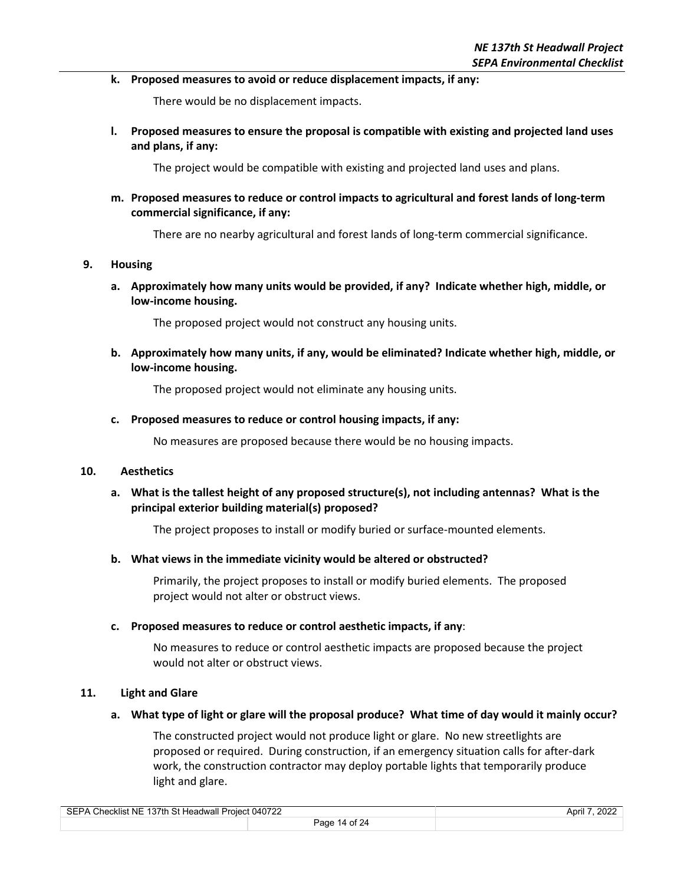**k. Proposed measures to avoid or reduce displacement impacts, if any:**

There would be no displacement impacts.

**l. Proposed measures to ensure the proposal is compatible with existing and projected land uses and plans, if any:**

The project would be compatible with existing and projected land uses and plans.

**m. Proposed measures to reduce or control impacts to agricultural and forest lands of long-term commercial significance, if any:**

There are no nearby agricultural and forest lands of long-term commercial significance.

#### **9. Housing**

**a. Approximately how many units would be provided, if any? Indicate whether high, middle, or low-income housing.**

The proposed project would not construct any housing units.

**b. Approximately how many units, if any, would be eliminated? Indicate whether high, middle, or low-income housing.**

The proposed project would not eliminate any housing units.

**c. Proposed measures to reduce or control housing impacts, if any:**

No measures are proposed because there would be no housing impacts.

#### **10. Aesthetics**

**a. What is the tallest height of any proposed structure(s), not including antennas? What is the principal exterior building material(s) proposed?**

The project proposes to install or modify buried or surface-mounted elements.

**b. What views in the immediate vicinity would be altered or obstructed?**

Primarily, the project proposes to install or modify buried elements. The proposed project would not alter or obstruct views.

#### **c. Proposed measures to reduce or control aesthetic impacts, if any**:

No measures to reduce or control aesthetic impacts are proposed because the project would not alter or obstruct views.

#### **11. Light and Glare**

**a. What type of light or glare will the proposal produce? What time of day would it mainly occur?**

The constructed project would not produce light or glare. No new streetlights are proposed or required. During construction, if an emergency situation calls for after-dark work, the construction contractor may deploy portable lights that temporarily produce light and glare.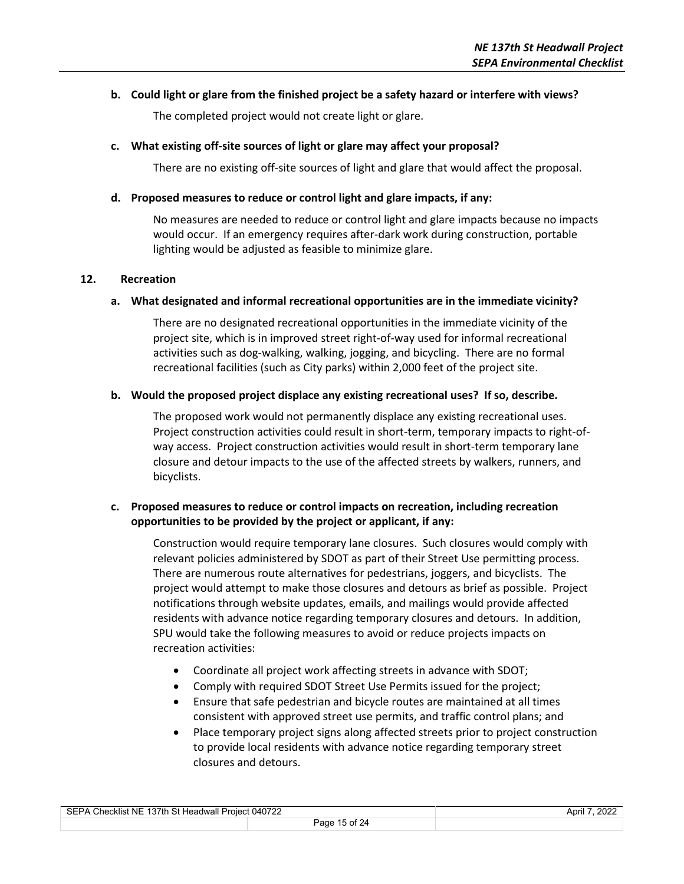### **b. Could light or glare from the finished project be a safety hazard or interfere with views?**

The completed project would not create light or glare.

#### **c. What existing off-site sources of light or glare may affect your proposal?**

There are no existing off-site sources of light and glare that would affect the proposal.

#### **d. Proposed measures to reduce or control light and glare impacts, if any:**

No measures are needed to reduce or control light and glare impacts because no impacts would occur. If an emergency requires after-dark work during construction, portable lighting would be adjusted as feasible to minimize glare.

#### **12. Recreation**

#### **a. What designated and informal recreational opportunities are in the immediate vicinity?**

There are no designated recreational opportunities in the immediate vicinity of the project site, which is in improved street right-of-way used for informal recreational activities such as dog-walking, walking, jogging, and bicycling. There are no formal recreational facilities (such as City parks) within 2,000 feet of the project site.

#### **b. Would the proposed project displace any existing recreational uses? If so, describe.**

The proposed work would not permanently displace any existing recreational uses. Project construction activities could result in short-term, temporary impacts to right-ofway access. Project construction activities would result in short-term temporary lane closure and detour impacts to the use of the affected streets by walkers, runners, and bicyclists.

## **c. Proposed measures to reduce or control impacts on recreation, including recreation opportunities to be provided by the project or applicant, if any:**

Construction would require temporary lane closures. Such closures would comply with relevant policies administered by SDOT as part of their Street Use permitting process. There are numerous route alternatives for pedestrians, joggers, and bicyclists. The project would attempt to make those closures and detours as brief as possible. Project notifications through website updates, emails, and mailings would provide affected residents with advance notice regarding temporary closures and detours. In addition, SPU would take the following measures to avoid or reduce projects impacts on recreation activities:

- Coordinate all project work affecting streets in advance with SDOT;
- Comply with required SDOT Street Use Permits issued for the project;
- Ensure that safe pedestrian and bicycle routes are maintained at all times consistent with approved street use permits, and traffic control plans; and
- Place temporary project signs along affected streets prior to project construction to provide local residents with advance notice regarding temporary street closures and detours.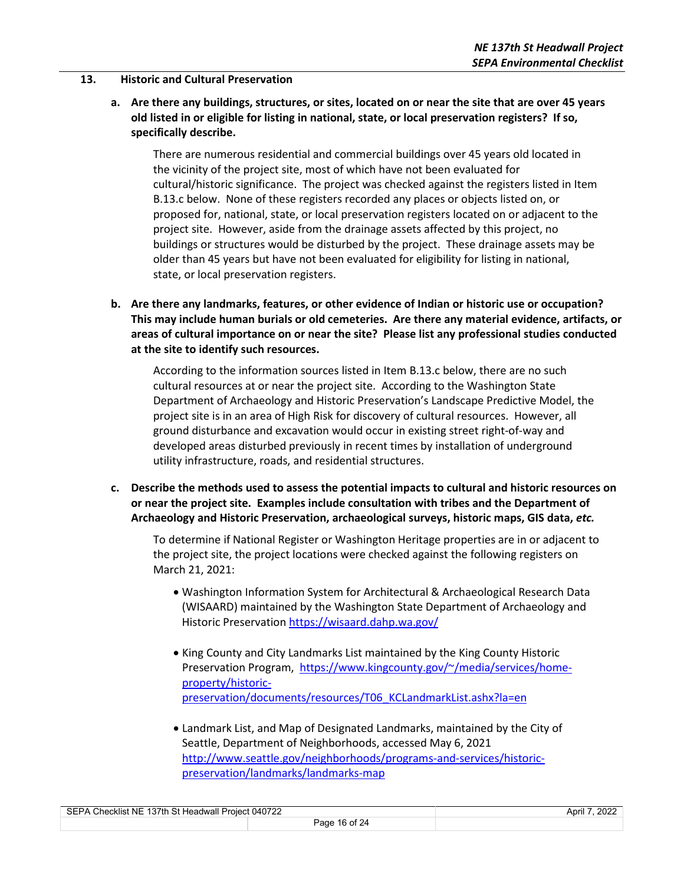#### **13. Historic and Cultural Preservation**

**a. Are there any buildings, structures, or sites, located on or near the site that are over 45 years old listed in or eligible for listing in national, state, or local preservation registers? If so, specifically describe.**

There are numerous residential and commercial buildings over 45 years old located in the vicinity of the project site, most of which have not been evaluated for cultural/historic significance. The project was checked against the registers listed in Item B.13.c below. None of these registers recorded any places or objects listed on, or proposed for, national, state, or local preservation registers located on or adjacent to the project site. However, aside from the drainage assets affected by this project, no buildings or structures would be disturbed by the project. These drainage assets may be older than 45 years but have not been evaluated for eligibility for listing in national, state, or local preservation registers.

**b. Are there any landmarks, features, or other evidence of Indian or historic use or occupation? This may include human burials or old cemeteries. Are there any material evidence, artifacts, or areas of cultural importance on or near the site? Please list any professional studies conducted at the site to identify such resources.**

According to the information sources listed in Item B.13.c below, there are no such cultural resources at or near the project site. According to the Washington State Department of Archaeology and Historic Preservation's Landscape Predictive Model, the project site is in an area of High Risk for discovery of cultural resources. However, all ground disturbance and excavation would occur in existing street right-of-way and developed areas disturbed previously in recent times by installation of underground utility infrastructure, roads, and residential structures.

**c. Describe the methods used to assess the potential impacts to cultural and historic resources on or near the project site. Examples include consultation with tribes and the Department of Archaeology and Historic Preservation, archaeological surveys, historic maps, GIS data,** *etc.*

To determine if National Register or Washington Heritage properties are in or adjacent to the project site, the project locations were checked against the following registers on March 21, 2021:

- Washington Information System for Architectural & Archaeological Research Data (WISAARD) maintained by the Washington State Department of Archaeology and Historic Preservatio[n https://wisaard.dahp.wa.gov/](https://wisaard.dahp.wa.gov/)
- King County and City Landmarks List maintained by the King County Historic Preservation Program, [https://www.kingcounty.gov/~/media/services/home](https://www.kingcounty.gov/%7E/media/services/home-property/historic-preservation/documents/resources/T06_KCLandmarkList.ashx?la=en)[property/historic](https://www.kingcounty.gov/%7E/media/services/home-property/historic-preservation/documents/resources/T06_KCLandmarkList.ashx?la=en)[preservation/documents/resources/T06\\_KCLandmarkList.ashx?la=en](https://www.kingcounty.gov/%7E/media/services/home-property/historic-preservation/documents/resources/T06_KCLandmarkList.ashx?la=en)
- Landmark List, and Map of Designated Landmarks, maintained by the City of Seattle, Department of Neighborhoods, accessed May 6, 2021 [http://www.seattle.gov/neighborhoods/programs-and-services/historic](http://www.seattle.gov/neighborhoods/programs-and-services/historic-preservation/landmarks/landmarks-map)[preservation/landmarks/landmarks-map](http://www.seattle.gov/neighborhoods/programs-and-services/historic-preservation/landmarks/landmarks-map)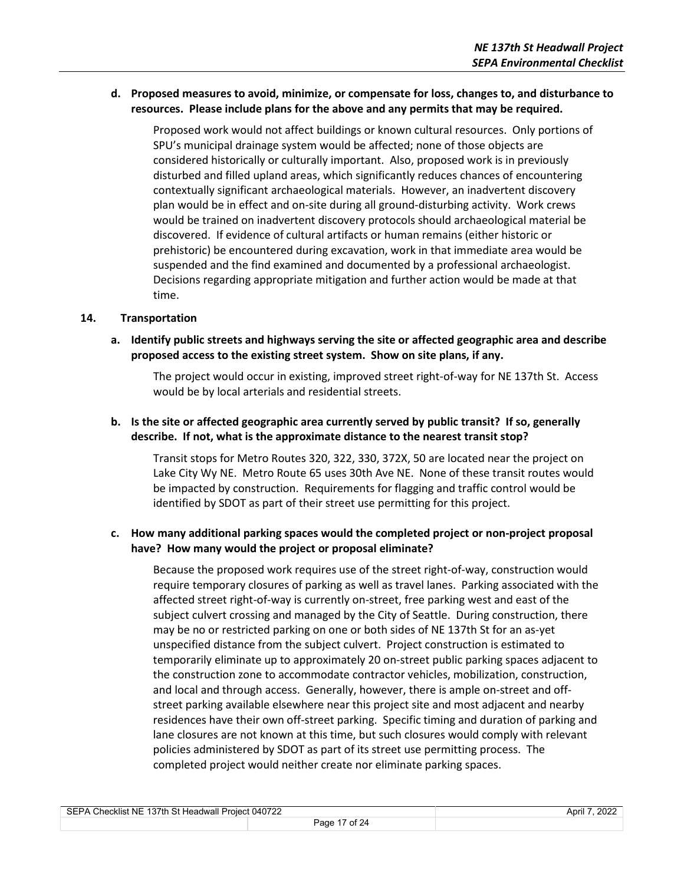## **d. Proposed measures to avoid, minimize, or compensate for loss, changes to, and disturbance to resources. Please include plans for the above and any permits that may be required.**

Proposed work would not affect buildings or known cultural resources. Only portions of SPU's municipal drainage system would be affected; none of those objects are considered historically or culturally important. Also, proposed work is in previously disturbed and filled upland areas, which significantly reduces chances of encountering contextually significant archaeological materials. However, an inadvertent discovery plan would be in effect and on-site during all ground-disturbing activity. Work crews would be trained on inadvertent discovery protocols should archaeological material be discovered. If evidence of cultural artifacts or human remains (either historic or prehistoric) be encountered during excavation, work in that immediate area would be suspended and the find examined and documented by a professional archaeologist. Decisions regarding appropriate mitigation and further action would be made at that time.

## **14. Transportation**

**a. Identify public streets and highways serving the site or affected geographic area and describe proposed access to the existing street system. Show on site plans, if any.**

The project would occur in existing, improved street right-of-way for NE 137th St. Access would be by local arterials and residential streets.

## **b. Is the site or affected geographic area currently served by public transit? If so, generally describe. If not, what is the approximate distance to the nearest transit stop?**

Transit stops for Metro Routes 320, 322, 330, 372X, 50 are located near the project on Lake City Wy NE. Metro Route 65 uses 30th Ave NE. None of these transit routes would be impacted by construction. Requirements for flagging and traffic control would be identified by SDOT as part of their street use permitting for this project.

## **c. How many additional parking spaces would the completed project or non-project proposal have? How many would the project or proposal eliminate?**

Because the proposed work requires use of the street right-of-way, construction would require temporary closures of parking as well as travel lanes. Parking associated with the affected street right-of-way is currently on-street, free parking west and east of the subject culvert crossing and managed by the City of Seattle. During construction, there may be no or restricted parking on one or both sides of NE 137th St for an as-yet unspecified distance from the subject culvert. Project construction is estimated to temporarily eliminate up to approximately 20 on-street public parking spaces adjacent to the construction zone to accommodate contractor vehicles, mobilization, construction, and local and through access. Generally, however, there is ample on-street and offstreet parking available elsewhere near this project site and most adjacent and nearby residences have their own off-street parking. Specific timing and duration of parking and lane closures are not known at this time, but such closures would comply with relevant policies administered by SDOT as part of its street use permitting process. The completed project would neither create nor eliminate parking spaces.

SEPA Checklist NE 137th St Headwall Project 040722 April 7, 2022 April 7, 2022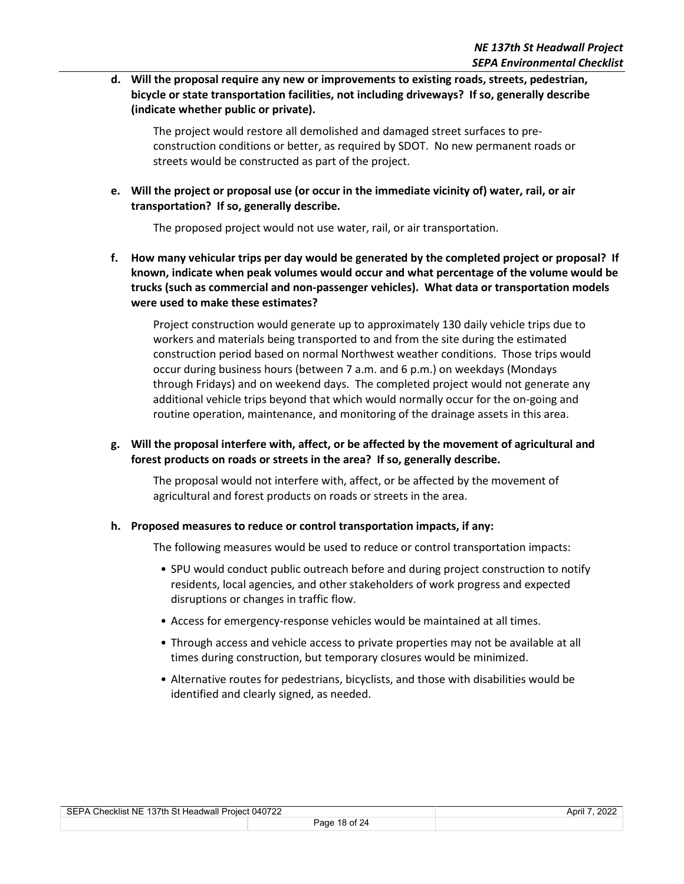**d. Will the proposal require any new or improvements to existing roads, streets, pedestrian, bicycle or state transportation facilities, not including driveways? If so, generally describe (indicate whether public or private).**

The project would restore all demolished and damaged street surfaces to preconstruction conditions or better, as required by SDOT. No new permanent roads or streets would be constructed as part of the project.

**e. Will the project or proposal use (or occur in the immediate vicinity of) water, rail, or air transportation? If so, generally describe.**

The proposed project would not use water, rail, or air transportation.

**f. How many vehicular trips per day would be generated by the completed project or proposal? If known, indicate when peak volumes would occur and what percentage of the volume would be trucks (such as commercial and non-passenger vehicles). What data or transportation models were used to make these estimates?**

Project construction would generate up to approximately 130 daily vehicle trips due to workers and materials being transported to and from the site during the estimated construction period based on normal Northwest weather conditions. Those trips would occur during business hours (between 7 a.m. and 6 p.m.) on weekdays (Mondays through Fridays) and on weekend days. The completed project would not generate any additional vehicle trips beyond that which would normally occur for the on-going and routine operation, maintenance, and monitoring of the drainage assets in this area.

## **g. Will the proposal interfere with, affect, or be affected by the movement of agricultural and forest products on roads or streets in the area? If so, generally describe.**

The proposal would not interfere with, affect, or be affected by the movement of agricultural and forest products on roads or streets in the area.

## **h. Proposed measures to reduce or control transportation impacts, if any:**

The following measures would be used to reduce or control transportation impacts:

- SPU would conduct public outreach before and during project construction to notify residents, local agencies, and other stakeholders of work progress and expected disruptions or changes in traffic flow.
- Access for emergency-response vehicles would be maintained at all times.
- Through access and vehicle access to private properties may not be available at all times during construction, but temporary closures would be minimized.
- Alternative routes for pedestrians, bicyclists, and those with disabilities would be identified and clearly signed, as needed.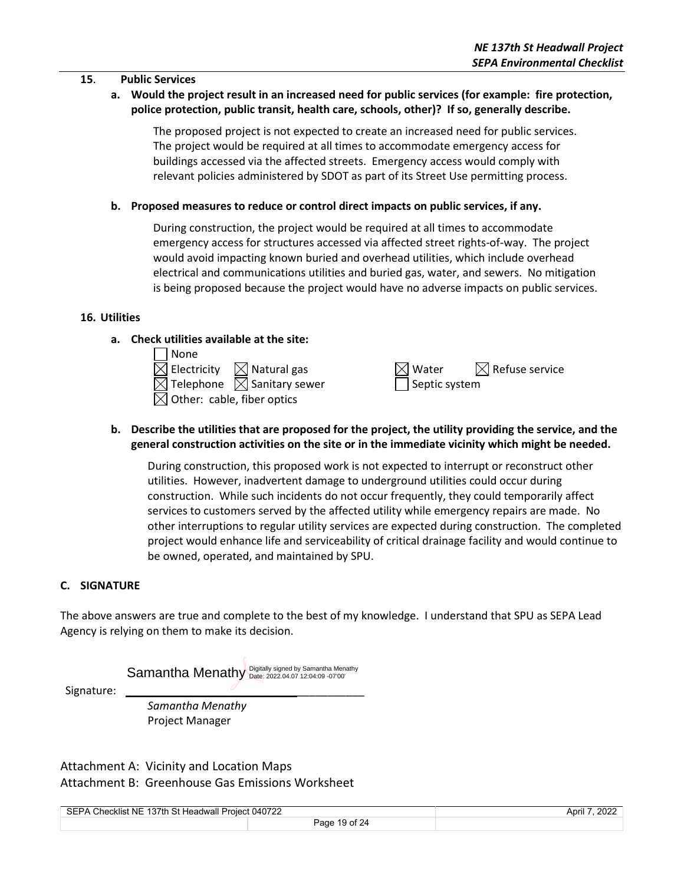#### **15**. **Public Services**

## **a. Would the project result in an increased need for public services (for example: fire protection, police protection, public transit, health care, schools, other)? If so, generally describe.**

The proposed project is not expected to create an increased need for public services. The project would be required at all times to accommodate emergency access for buildings accessed via the affected streets. Emergency access would comply with relevant policies administered by SDOT as part of its Street Use permitting process.

### **b. Proposed measures to reduce or control direct impacts on public services, if any.**

During construction, the project would be required at all times to accommodate emergency access for structures accessed via affected street rights-of-way. The project would avoid impacting known buried and overhead utilities, which include overhead electrical and communications utilities and buried gas, water, and sewers. No mitigation is being proposed because the project would have no adverse impacts on public services.

### **16. Utilities**

### **a. Check utilities available at the site:**

| None                                             |                      |
|--------------------------------------------------|----------------------|
| $\boxtimes$ Electricity $\boxtimes$ Natural gas  | $\boxtimes$ Water    |
| $\boxtimes$ Telephone $\boxtimes$ Sanitary sewer | $\Box$ Septic system |
| $\boxtimes$ Other: cable, fiber optics           |                      |

| Electricity $\Box$ Natural gas  | $\boxtimes$ Water    | $\boxtimes$ Refuse service |
|---------------------------------|----------------------|----------------------------|
| Telephone $\Box$ Sanitary sewer | $\Box$ Septic system |                            |
|                                 |                      |                            |

## **b. Describe the utilities that are proposed for the project, the utility providing the service, and the general construction activities on the site or in the immediate vicinity which might be needed.**

During construction, this proposed work is not expected to interrupt or reconstruct other utilities. However, inadvertent damage to underground utilities could occur during construction. While such incidents do not occur frequently, they could temporarily affect services to customers served by the affected utility while emergency repairs are made. No other interruptions to regular utility services are expected during construction. The completed project would enhance life and serviceability of critical drainage facility and would continue to be owned, operated, and maintained by SPU.

## **C. SIGNATURE**

The above answers are true and complete to the best of my knowledge. I understand that SPU as SEPA Lead Agency is relying on them to make its decision.

Samantha Menathy Digitally signed by Samantha Menathy<br>Date: 2022.04.07 12:04:09 -07'00'

Signature:

*Samantha Menathy* Project Manager

Attachment A: Vicinity and Location Maps Attachment B: Greenhouse Gas Emissions Worksheet

SEPA Checklist NE 137th St Headwall Project 040722 April 7, 2022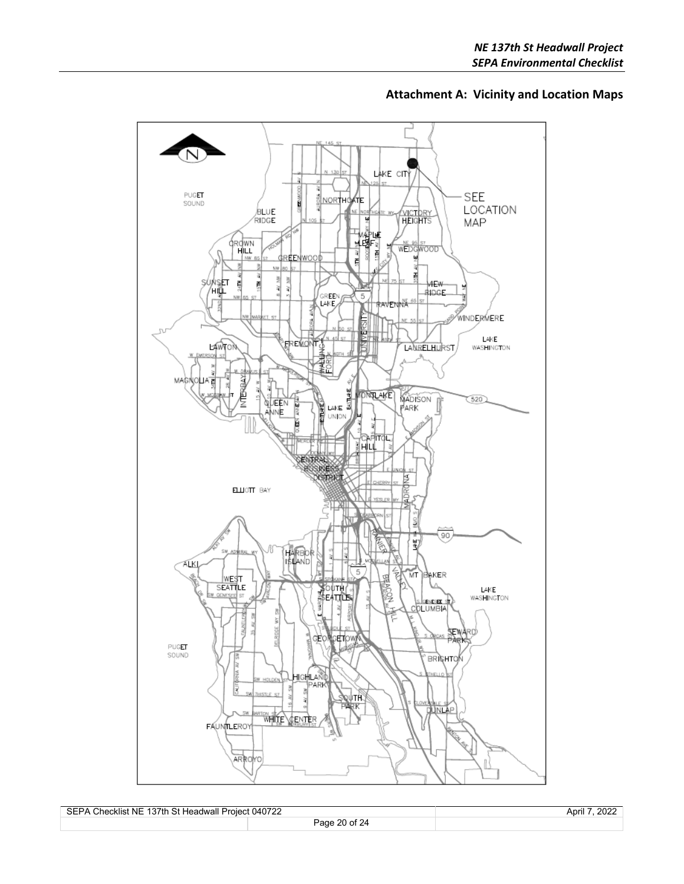

## **Attachment A: Vicinity and Location Maps**

SEPA Checklist NE 137th St Headwall Project 040722 April 7, 2022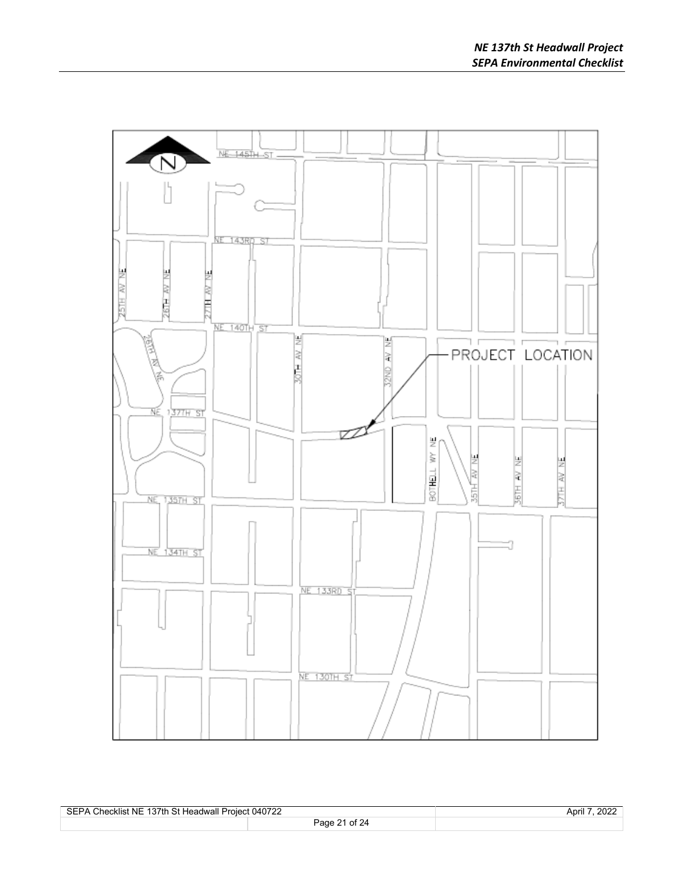

| Checklist NE 137th St Headwall Project 040722<br>SEPA |                  | 2022<br>April 1 |
|-------------------------------------------------------|------------------|-----------------|
|                                                       | of 24<br>Page 21 |                 |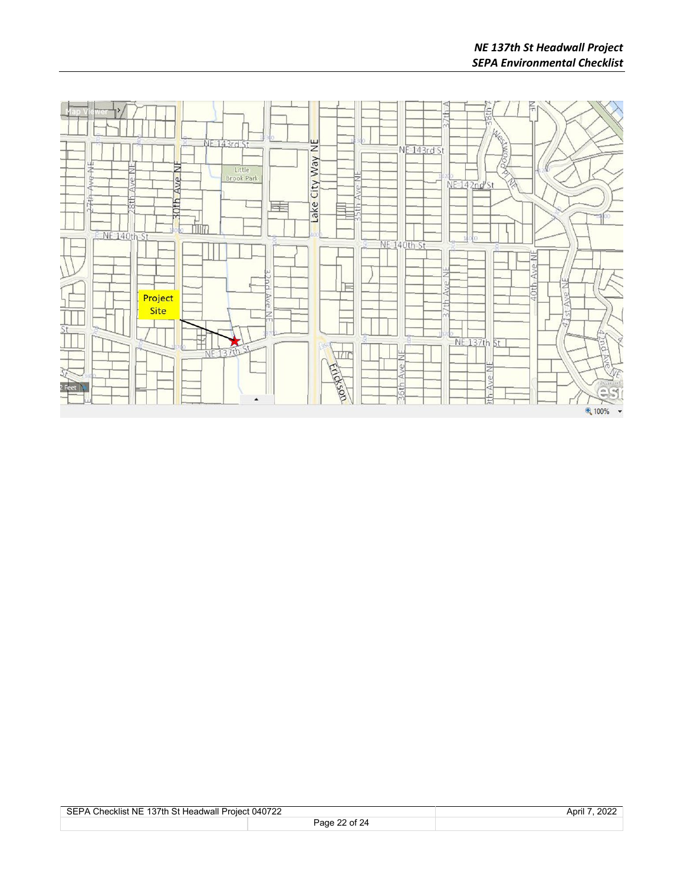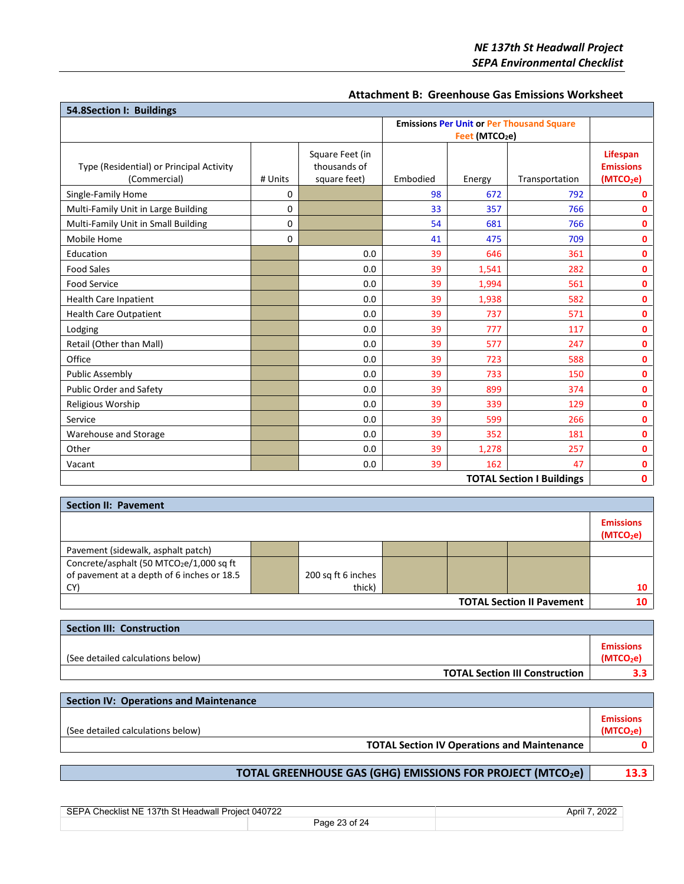| 54.8Section I: Buildings                                 |                                                  |                                                 |          |                            |                |                                                       |
|----------------------------------------------------------|--------------------------------------------------|-------------------------------------------------|----------|----------------------------|----------------|-------------------------------------------------------|
|                                                          | <b>Emissions Per Unit or Per Thousand Square</b> |                                                 |          | Feet (MTCO <sub>2</sub> e) |                |                                                       |
| Type (Residential) or Principal Activity<br>(Commercial) | # Units                                          | Square Feet (in<br>thousands of<br>square feet) | Embodied | Energy                     | Transportation | Lifespan<br><b>Emissions</b><br>(MTCO <sub>2</sub> e) |
| Single-Family Home                                       | 0                                                |                                                 | 98       | 672                        | 792            | 0                                                     |
| Multi-Family Unit in Large Building                      | 0                                                |                                                 | 33       | 357                        | 766            | $\mathbf 0$                                           |
| Multi-Family Unit in Small Building                      | 0                                                |                                                 | 54       | 681                        | 766            | 0                                                     |
| Mobile Home                                              | 0                                                |                                                 | 41       | 475                        | 709            | 0                                                     |
| Education                                                |                                                  | 0.0                                             | 39       | 646                        | 361            | $\mathbf 0$                                           |
| <b>Food Sales</b>                                        |                                                  | 0.0                                             | 39       | 1,541                      | 282            | $\mathbf 0$                                           |
| <b>Food Service</b>                                      |                                                  | 0.0                                             | 39       | 1,994                      | 561            | 0                                                     |
| Health Care Inpatient                                    |                                                  | 0.0                                             | 39       | 1,938                      | 582            | $\mathbf 0$                                           |
| <b>Health Care Outpatient</b>                            |                                                  | 0.0                                             | 39       | 737                        | 571            | $\mathbf 0$                                           |
| Lodging                                                  |                                                  | 0.0                                             | 39       | 777                        | 117            | 0                                                     |
| Retail (Other than Mall)                                 |                                                  | 0.0                                             | 39       | 577                        | 247            | 0                                                     |
| Office                                                   |                                                  | 0.0                                             | 39       | 723                        | 588            | 0                                                     |
| <b>Public Assembly</b>                                   |                                                  | 0.0                                             | 39       | 733                        | 150            | 0                                                     |
| <b>Public Order and Safety</b>                           |                                                  | 0.0                                             | 39       | 899                        | 374            | 0                                                     |
| Religious Worship                                        |                                                  | 0.0                                             | 39       | 339                        | 129            | $\mathbf 0$                                           |
| Service                                                  |                                                  | 0.0                                             | 39       | 599                        | 266            | $\mathbf 0$                                           |
| Warehouse and Storage                                    |                                                  | 0.0                                             | 39       | 352                        | 181            | $\mathbf 0$                                           |
| Other                                                    |                                                  | 0.0                                             | 39       | 1,278                      | 257            | 0                                                     |
| Vacant                                                   |                                                  | 0.0                                             | 39       | 162                        | 47             | 0                                                     |

### **Attachment B: Greenhouse Gas Emissions Worksheet**

**TOTAL Section I Buildings 0**

| <b>Section II: Pavement</b>                          |  |                    |  |  |                                  |                                           |
|------------------------------------------------------|--|--------------------|--|--|----------------------------------|-------------------------------------------|
|                                                      |  |                    |  |  |                                  | <b>Emissions</b><br>(MTCO <sub>2</sub> e) |
| Pavement (sidewalk, asphalt patch)                   |  |                    |  |  |                                  |                                           |
| Concrete/asphalt (50 MTCO <sub>2</sub> e/1,000 sq ft |  |                    |  |  |                                  |                                           |
| of pavement at a depth of 6 inches or 18.5           |  | 200 sq ft 6 inches |  |  |                                  |                                           |
| CY)                                                  |  | thick)             |  |  |                                  | 10                                        |
|                                                      |  |                    |  |  | <b>TOTAL Section II Pavement</b> |                                           |

| <b>Section III: Construction</b>      |                                           |
|---------------------------------------|-------------------------------------------|
| (See detailed calculations below)     | <b>Emissions</b><br>(MTCO <sub>2</sub> e) |
| <b>TOTAL Section III Construction</b> |                                           |

| <b>Section IV: Operations and Maintenance</b>      |                                           |
|----------------------------------------------------|-------------------------------------------|
| (See detailed calculations below)                  | <b>Emissions</b><br>(MTCO <sub>2</sub> e) |
| <b>TOTAL Section IV Operations and Maintenance</b> |                                           |
|                                                    |                                           |

# **TOTAL GREENHOUSE GAS (GHG) EMISSIONS FOR PROJECT (MTCO2e) 13.3**